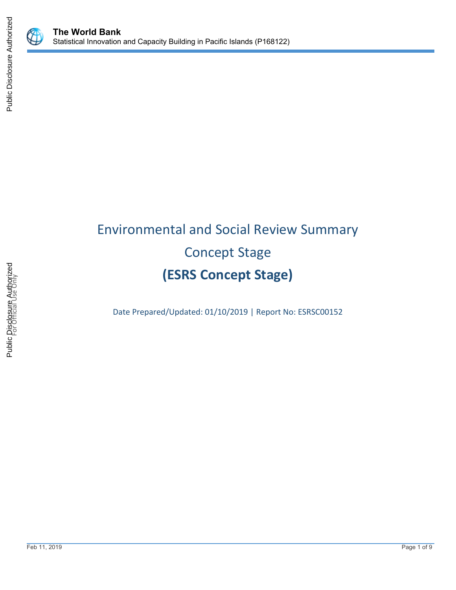

# Environmental and Social Review Summary Concept Stage **(ESRS Concept Stage)**

Date Prepared/Updated: 01/10/2019 | Report No: ESRSC00152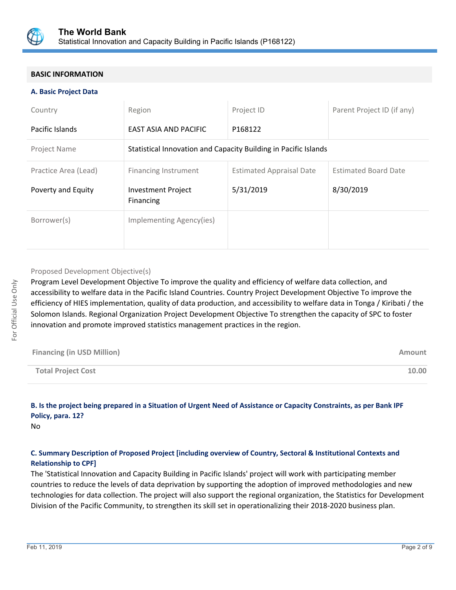

# **BASIC INFORMATION**

## **A. Basic Project Data**

| Country              | Region                                                          | Project ID                      | Parent Project ID (if any)  |
|----------------------|-----------------------------------------------------------------|---------------------------------|-----------------------------|
| Pacific Islands      | <b>EAST ASIA AND PACIFIC</b>                                    | P168122                         |                             |
| Project Name         | Statistical Innovation and Capacity Building in Pacific Islands |                                 |                             |
| Practice Area (Lead) | <b>Financing Instrument</b>                                     | <b>Estimated Appraisal Date</b> | <b>Estimated Board Date</b> |
| Poverty and Equity   | <b>Investment Project</b><br>Financing                          | 5/31/2019                       | 8/30/2019                   |
| Borrower(s)          | Implementing Agency(ies)                                        |                                 |                             |

## Proposed Development Objective(s)

Program Level Development Objective To improve the quality and efficiency of welfare data collection, and accessibility to welfare data in the Pacific Island Countries. Country Project Development Objective To improve the efficiency of HIES implementation, quality of data production, and accessibility to welfare data in Tonga / Kiribati / the Solomon Islands. Regional Organization Project Development Objective To strengthen the capacity of SPC to foster innovation and promote improved statistics management practices in the region.

| <b>Financing (in USD Million)</b> | Amount |
|-----------------------------------|--------|
| <b>Total Project Cost</b>         | 10.00  |

# **B. Is the project being prepared in a Situation of Urgent Need of Assistance or Capacity Constraints, as per Bank IPF Policy, para. 12?**

No

# **C. Summary Description of Proposed Project [including overview of Country, Sectoral & Institutional Contexts and Relationship to CPF]**

The 'Statistical Innovation and Capacity Building in Pacific Islands' project will work with participating member countries to reduce the levels of data deprivation by supporting the adoption of improved methodologies and new technologies for data collection. The project will also support the regional organization, the Statistics for Development Division of the Pacific Community, to strengthen its skill set in operationalizing their 2018-2020 business plan.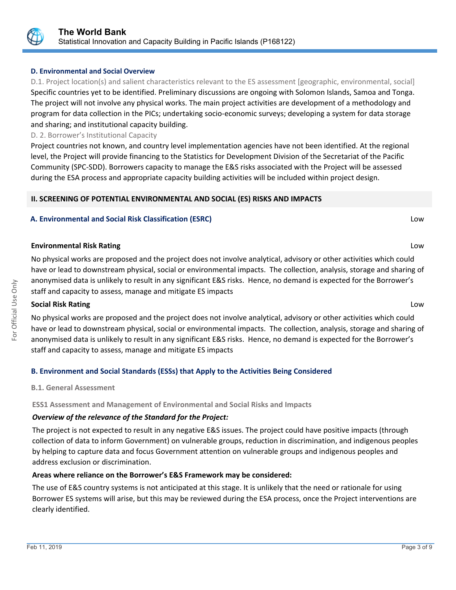

# **D. Environmental and Social Overview**

D.1. Project location(s) and salient characteristics relevant to the ES assessment [geographic, environmental, social] Specific countries yet to be identified. Preliminary discussions are ongoing with Solomon Islands, Samoa and Tonga. The project will not involve any physical works. The main project activities are development of a methodology and program for data collection in the PICs; undertaking socio-economic surveys; developing a system for data storage and sharing; and institutional capacity building.

# D. 2. Borrower's Institutional Capacity

Project countries not known, and country level implementation agencies have not been identified. At the regional level, the Project will provide financing to the Statistics for Development Division of the Secretariat of the Pacific Community (SPC-SDD). Borrowers capacity to manage the E&S risks associated with the Project will be assessed during the ESA process and appropriate capacity building activities will be included within project design.

# **II. SCREENING OF POTENTIAL ENVIRONMENTAL AND SOCIAL (ES) RISKS AND IMPACTS**

# **A. Environmental and Social Risk Classification (ESRC)** Low

# **Environmental Risk Rating** Low

No physical works are proposed and the project does not involve analytical, advisory or other activities which could have or lead to downstream physical, social or environmental impacts. The collection, analysis, storage and sharing of anonymised data is unlikely to result in any significant E&S risks. Hence, no demand is expected for the Borrower's staff and capacity to assess, manage and mitigate ES impacts

# **Social Risk Rating** Low

No physical works are proposed and the project does not involve analytical, advisory or other activities which could have or lead to downstream physical, social or environmental impacts. The collection, analysis, storage and sharing of anonymised data is unlikely to result in any significant E&S risks. Hence, no demand is expected for the Borrower's staff and capacity to assess, manage and mitigate ES impacts

# **B. Environment and Social Standards (ESSs) that Apply to the Activities Being Considered**

# **B.1. General Assessment**

# **ESS1 Assessment and Management of Environmental and Social Risks and Impacts**

# *Overview of the relevance of the Standard for the Project:*

The project is not expected to result in any negative E&S issues. The project could have positive impacts (through collection of data to inform Government) on vulnerable groups, reduction in discrimination, and indigenous peoples by helping to capture data and focus Government attention on vulnerable groups and indigenous peoples and address exclusion or discrimination.

# **Areas where reliance on the Borrower's E&S Framework may be considered:**

The use of E&S country systems is not anticipated at this stage. It is unlikely that the need or rationale for using Borrower ES systems will arise, but this may be reviewed during the ESA process, once the Project interventions are clearly identified.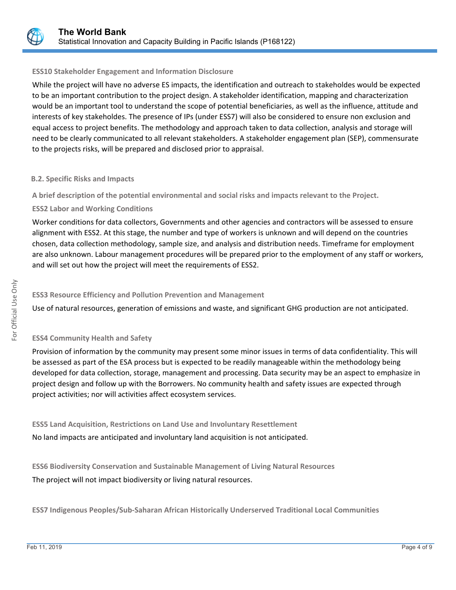

# **ESS10 Stakeholder Engagement and Information Disclosure**

While the project will have no adverse ES impacts, the identification and outreach to stakeholdes would be expected to be an important contribution to the project design. A stakeholder identification, mapping and characterization would be an important tool to understand the scope of potential beneficiaries, as well as the influence, attitude and interests of key stakeholdes. The presence of IPs (under ESS7) will also be considered to ensure non exclusion and equal access to project benefits. The methodology and approach taken to data collection, analysis and storage will need to be clearly communicated to all relevant stakeholders. A stakeholder engagement plan (SEP), commensurate to the projects risks, will be prepared and disclosed prior to appraisal.

# **B.2. Specific Risks and Impacts**

**A brief description of the potential environmental and social risks and impacts relevant to the Project.**

# **ESS2 Labor and Working Conditions**

Worker conditions for data collectors, Governments and other agencies and contractors will be assessed to ensure alignment with ESS2. At this stage, the number and type of workers is unknown and will depend on the countries chosen, data collection methodology, sample size, and analysis and distribution needs. Timeframe for employment are also unknown. Labour management procedures will be prepared prior to the employment of any staff or workers, and will set out how the project will meet the requirements of ESS2.

# **ESS3 Resource Efficiency and Pollution Prevention and Management**

Use of natural resources, generation of emissions and waste, and significant GHG production are not anticipated.

# **ESS4 Community Health and Safety**

Provision of information by the community may present some minor issues in terms of data confidentiality. This will be assessed as part of the ESA process but is expected to be readily manageable within the methodology being developed for data collection, storage, management and processing. Data security may be an aspect to emphasize in project design and follow up with the Borrowers. No community health and safety issues are expected through project activities; nor will activities affect ecosystem services.

**ESS5 Land Acquisition, Restrictions on Land Use and Involuntary Resettlement** No land impacts are anticipated and involuntary land acquisition is not anticipated.

**ESS6 Biodiversity Conservation and Sustainable Management of Living Natural Resources** The project will not impact biodiversity or living natural resources.

**ESS7 Indigenous Peoples/Sub-Saharan African Historically Underserved Traditional Local Communities**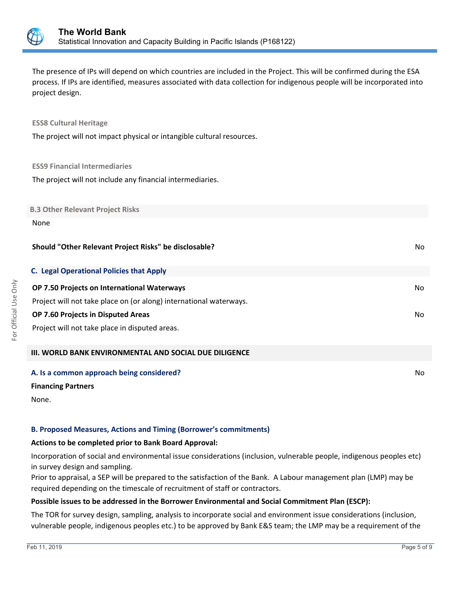

The presence of IPs will depend on which countries are included in the Project. This will be confirmed during the ESA process. If IPs are identified, measures associated with data collection for indigenous people will be incorporated into project design.

### **ESS8 Cultural Heritage**

The project will not impact physical or intangible cultural resources.

#### **ESS9 Financial Intermediaries**

The project will not include any financial intermediaries.

#### **B.3 Other Relevant Project Risks**

#### None

#### **Should "Other Relevant Project Risks" be disclosable?** No analyzed a set of the set of the set of the set of the set of the set of the set of the set of the set of the set of the set of the set of the set of the set of th

| <b>C. Legal Operational Policies that Apply</b>                    |     |
|--------------------------------------------------------------------|-----|
| <b>OP 7.50 Projects on International Waterways</b>                 | No. |
| Project will not take place on (or along) international waterways. |     |
| <b>OP 7.60 Projects in Disputed Areas</b>                          | No. |
| Project will not take place in disputed areas.                     |     |
|                                                                    |     |

#### **III. WORLD BANK ENVIRONMENTAL AND SOCIAL DUE DILIGENCE**

#### **A. Is a common approach being considered?** No **No. 2018** No. 2018 No. 2018 No. 2018 No. 2018 No. 2019 No. 2019 No

#### **Financing Partners**

None.

# **B. Proposed Measures, Actions and Timing (Borrower's commitments)**

#### **Actions to be completed prior to Bank Board Approval:**

Incorporation of social and environmental issue considerations (inclusion, vulnerable people, indigenous peoples etc) in survey design and sampling.

Prior to appraisal, a SEP will be prepared to the satisfaction of the Bank. A Labour management plan (LMP) may be required depending on the timescale of recruitment of staff or contractors.

# **Possible issues to be addressed in the Borrower Environmental and Social Commitment Plan (ESCP):**

The TOR for survey design, sampling, analysis to incorporate social and environment issue considerations (inclusion, vulnerable people, indigenous peoples etc.) to be approved by Bank E&S team; the LMP may be a requirement of the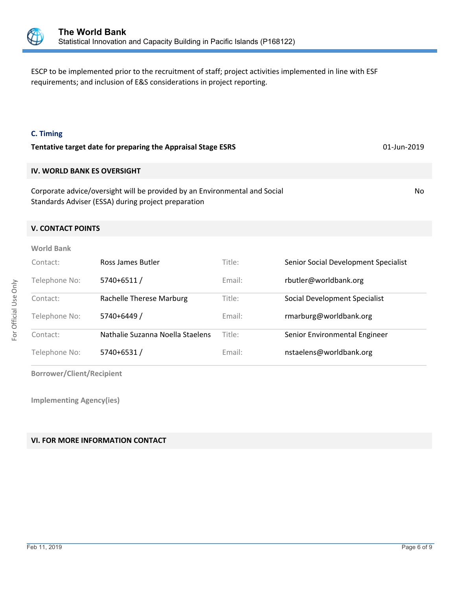

ESCP to be implemented prior to the recruitment of staff; project activities implemented in line with ESF requirements; and inclusion of E&S considerations in project reporting.

## **C. Timing**

| Tentative target date for preparing the Appraisal Stage ESRS               |     |
|----------------------------------------------------------------------------|-----|
| <b>IV. WORLD BANK ES OVERSIGHT</b>                                         |     |
| Corporate advice/oversight will be provided by an Environmental and Social | No. |

# **V. CONTACT POINTS**

Standards Adviser (ESSA) during project preparation

| <b>World Bank</b> |                                  |        |                                      |
|-------------------|----------------------------------|--------|--------------------------------------|
| Contact:          | Ross James Butler                | Title: | Senior Social Development Specialist |
| Telephone No:     | 5740+6511/                       | Email: | rbutler@worldbank.org                |
| Contact:          | Rachelle Therese Marburg         | Title: | Social Development Specialist        |
| Telephone No:     | 5740+6449 /                      | Email: | rmarburg@worldbank.org               |
| Contact:          | Nathalie Suzanna Noella Staelens | Title: | Senior Environmental Engineer        |
| Telephone No:     | 5740+6531/                       | Email: | nstaelens@worldbank.org              |

**Borrower/Client/Recipient**

**Implementing Agency(ies)**

# **VI. FOR MORE INFORMATION CONTACT**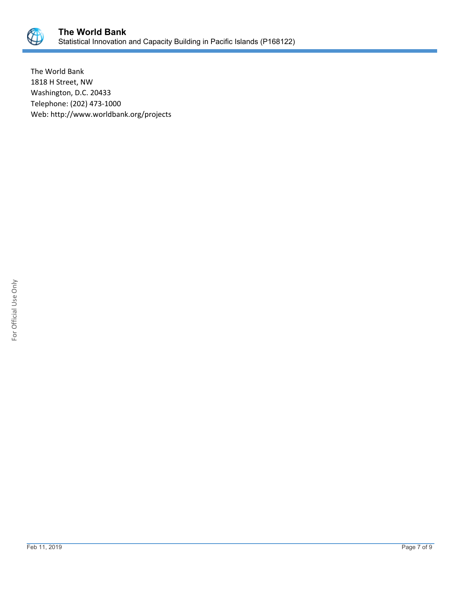

The World Bank 1818 H Street, NW Washington, D.C. 20433 Telephone: (202) 473-1000 Web: http://www.worldbank.org/projects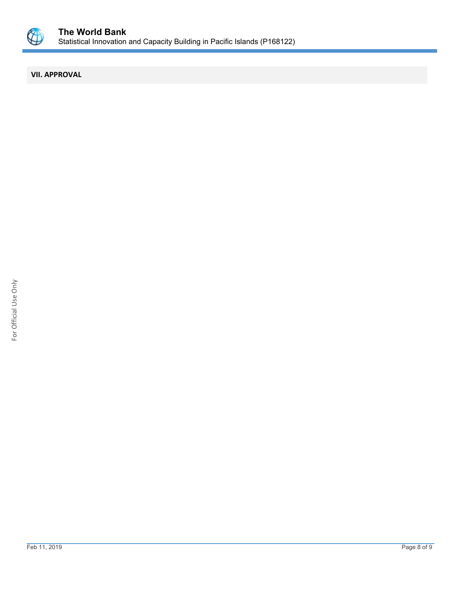

# **VII. APPROVAL**